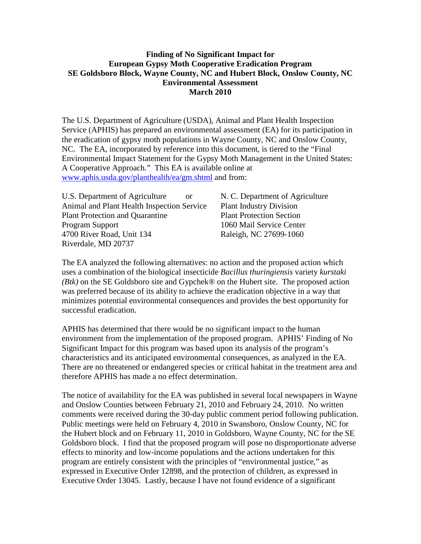## **Finding of No Significant Impact for European Gypsy Moth Cooperative Eradication Program SE Goldsboro Block, Wayne County, NC and Hubert Block, Onslow County, NC Environmental Assessment March 2010**

The U.S. Department of Agriculture (USDA), Animal and Plant Health Inspection Service (APHIS) has prepared an environmental assessment (EA) for its participation in the eradication of gypsy moth populations in Wayne County, NC and Onslow County, NC. The EA, incorporated by reference into this document, is tiered to the "Final Environmental Impact Statement for the Gypsy Moth Management in the United States: A Cooperative Approach." This EA is available online at [www.aphis.usda.gov/planthealth/ea/gm.shtml](http://www.aphis.usda.gov/planthealth/ea/gm.shtml) and from:

| U.S. Department of Agriculture             | оr |
|--------------------------------------------|----|
| Animal and Plant Health Inspection Service |    |
| <b>Plant Protection and Quarantine</b>     |    |
| <b>Program Support</b>                     |    |
| 4700 River Road, Unit 134                  |    |
| Riverdale, MD 20737                        |    |

N. C. Department of Agriculture Plant Industry Division Plant Protection Section 1060 Mail Service Center Raleigh, NC 27699-1060

The EA analyzed the following alternatives: no action and the proposed action which uses a combination of the biological insecticide *Bacillus thuringiensis* variety *kurstaki (Btk)* on the SE Goldsboro site and Gypchek® on the Hubert site. The proposed action was preferred because of its ability to achieve the eradication objective in a way that minimizes potential environmental consequences and provides the best opportunity for successful eradication.

APHIS has determined that there would be no significant impact to the human environment from the implementation of the proposed program. APHIS' Finding of No Significant Impact for this program was based upon its analysis of the program's characteristics and its anticipated environmental consequences, as analyzed in the EA. There are no threatened or endangered species or critical habitat in the treatment area and therefore APHIS has made a no effect determination.

The notice of availability for the EA was published in several local newspapers in Wayne and Onslow Counties between February 21, 2010 and February 24, 2010. No written comments were received during the 30-day public comment period following publication. Public meetings were held on February 4, 2010 in Swansboro, Onslow County, NC for the Hubert block and on February 11, 2010 in Goldsboro, Wayne County, NC for the SE Goldsboro block. I find that the proposed program will pose no disproportionate adverse effects to minority and low-income populations and the actions undertaken for this program are entirely consistent with the principles of "environmental justice," as expressed in Executive Order 12898, and the protection of children, as expressed in Executive Order 13045. Lastly, because I have not found evidence of a significant